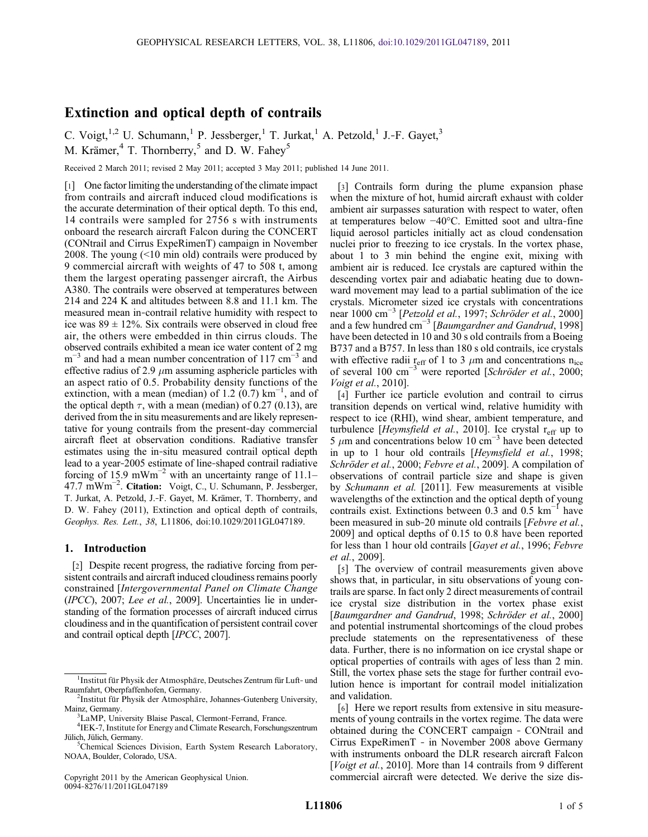# Extinction and optical depth of contrails

C. Voigt,<sup>1,2</sup> U. Schumann,<sup>1</sup> P. Jessberger,<sup>1</sup> T. Jurkat,<sup>1</sup> A. Petzold,<sup>1</sup> J.-F. Gayet,<sup>3</sup> M. Krämer,<sup>4</sup> T. Thornberry,<sup>5</sup> and D. W. Fahey<sup>5</sup>

Received 2 March 2011; revised 2 May 2011; accepted 3 May 2011; published 14 June 2011.

[1] One factor limiting the understanding of the climate impact from contrails and aircraft induced cloud modifications is the accurate determination of their optical depth. To this end, 14 contrails were sampled for 2756 s with instruments onboard the research aircraft Falcon during the CONCERT (CONtrail and Cirrus ExpeRimenT) campaign in November 2008. The young (<10 min old) contrails were produced by 9 commercial aircraft with weights of 47 to 508 t, among them the largest operating passenger aircraft, the Airbus A380. The contrails were observed at temperatures between 214 and 224 K and altitudes between 8.8 and 11.1 km. The measured mean in‐contrail relative humidity with respect to ice was  $89 \pm 12\%$ . Six contrails were observed in cloud free air, the others were embedded in thin cirrus clouds. The observed contrails exhibited a mean ice water content of 2 mg  $m^{-3}$  and had a mean number concentration of 117 cm<sup>-3</sup> and effective radius of 2.9  $\mu$ m assuming asphericle particles with an aspect ratio of 0.5. Probability density functions of the extinction, with a mean (median) of 1.2  $(0.7)$  km<sup>-1</sup>, and of the optical depth  $\tau$ , with a mean (median) of 0.27 (0.13), are derived from the in situ measurements and are likely representative for young contrails from the present‐day commercial aircraft fleet at observation conditions. Radiative transfer estimates using the in‐situ measured contrail optical depth lead to a year‐2005 estimate of line‐shaped contrail radiative forcing of 15.9 mWm<sup>-2</sup> with an uncertainty range of 11.1– 47.7 mWm−<sup>2</sup> . Citation: Voigt, C., U. Schumann, P. Jessberger, T. Jurkat, A. Petzold, J.‐F. Gayet, M. Krämer, T. Thornberry, and D. W. Fahey (2011), Extinction and optical depth of contrails, Geophys. Res. Lett., 38, L11806, doi:10.1029/2011GL047189.

### 1. Introduction

[2] Despite recent progress, the radiative forcing from persistent contrails and aircraft induced cloudiness remains poorly constrained [Intergovernmental Panel on Climate Change (IPCC), 2007; Lee et al., 2009]. Uncertainties lie in understanding of the formation processes of aircraft induced cirrus cloudiness and in the quantification of persistent contrail cover and contrail optical depth [IPCC, 2007].

Copyright 2011 by the American Geophysical Union. 0094‐8276/11/2011GL047189

[3] Contrails form during the plume expansion phase when the mixture of hot, humid aircraft exhaust with colder ambient air surpasses saturation with respect to water, often at temperatures below −40°C. Emitted soot and ultra‐fine liquid aerosol particles initially act as cloud condensation nuclei prior to freezing to ice crystals. In the vortex phase, about 1 to 3 min behind the engine exit, mixing with ambient air is reduced. Ice crystals are captured within the descending vortex pair and adiabatic heating due to downward movement may lead to a partial sublimation of the ice crystals. Micrometer sized ice crystals with concentrations near 1000 cm−<sup>3</sup> [Petzold et al., 1997; Schröder et al., 2000] and a few hundred cm<sup>-3</sup> [Baumgardner and Gandrud, 1998] have been detected in 10 and 30 s old contrails from a Boeing B737 and a B757. In less than 180 s old contrails, ice crystals with effective radii  $r_{\text{eff}}$  of 1 to 3  $\mu$ m and concentrations n<sub>ice</sub> of several 100 cm−<sup>3</sup> were reported [Schröder et al., 2000; Voigt et al., 2010].

[4] Further ice particle evolution and contrail to cirrus transition depends on vertical wind, relative humidity with respect to ice (RHI), wind shear, ambient temperature, and turbulence [*Heymsfield et al.*, 2010]. Ice crystal r<sub>eff</sub> up to 5  $\mu$ m and concentrations below 10 cm<sup>-3</sup> have been detected in up to 1 hour old contrails [Heymsfield et al., 1998; Schröder et al., 2000; Febvre et al., 2009]. A compilation of observations of contrail particle size and shape is given by Schumann et al. [2011]. Few measurements at visible wavelengths of the extinction and the optical depth of young contrails exist. Extinctions between 0.3 and 0.5  $km^{-1}$  have been measured in sub-20 minute old contrails [Febvre et al., 2009] and optical depths of 0.15 to 0.8 have been reported for less than 1 hour old contrails [Gayet et al., 1996; Febvre et al., 2009].

[5] The overview of contrail measurements given above shows that, in particular, in situ observations of young contrails are sparse. In fact only 2 direct measurements of contrail ice crystal size distribution in the vortex phase exist [Baumgardner and Gandrud, 1998; Schröder et al., 2000] and potential instrumental shortcomings of the cloud probes preclude statements on the representativeness of these data. Further, there is no information on ice crystal shape or optical properties of contrails with ages of less than 2 min. Still, the vortex phase sets the stage for further contrail evolution hence is important for contrail model initialization and validation.

[6] Here we report results from extensive in situ measurements of young contrails in the vortex regime. The data were obtained during the CONCERT campaign ‐ CONtrail and Cirrus ExpeRimenT ‐ in November 2008 above Germany with instruments onboard the DLR research aircraft Falcon [Voigt et al., 2010]. More than 14 contrails from 9 different commercial aircraft were detected. We derive the size dis-

<sup>&</sup>lt;sup>1</sup>Institut für Physik der Atmosphäre, Deutsches Zentrum für Luft- und Raumfahrt, Oberpfaffenhofen, Germany. <sup>2</sup>

<sup>&</sup>lt;sup>2</sup>Institut für Physik der Atmosphäre, Johannes–Gutenberg University, Mainz, Germany.

<sup>&</sup>lt;sup>3</sup>LaMP, University Blaise Pascal, Clermont-Ferrand, France.

<sup>&</sup>lt;sup>4</sup>IEK-7, Institute for Energy and Climate Research, Forschungszentrum Jülich, Jülich, Germany.

Chemical Sciences Division, Earth System Research Laboratory, NOAA, Boulder, Colorado, USA.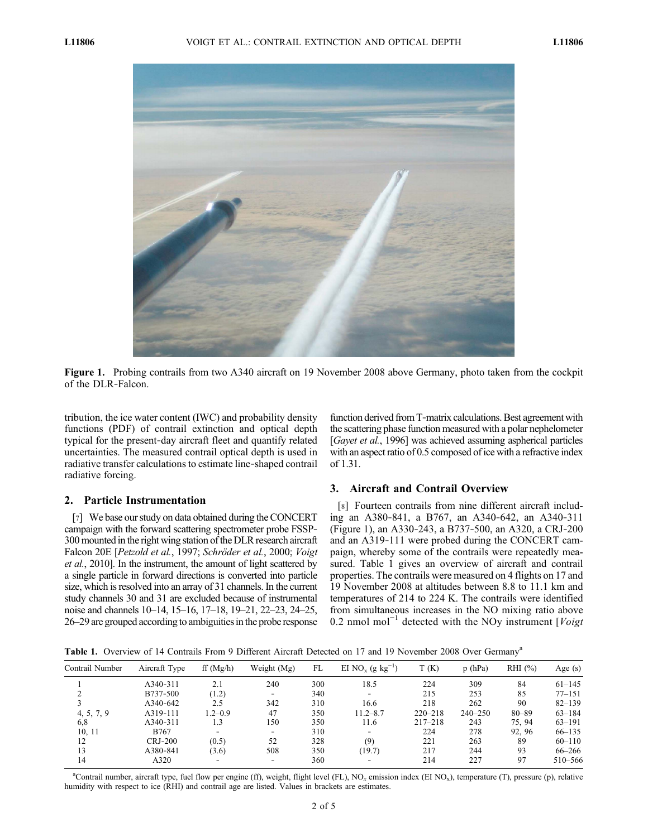

Figure 1. Probing contrails from two A340 aircraft on 19 November 2008 above Germany, photo taken from the cockpit of the DLR‐Falcon.

tribution, the ice water content (IWC) and probability density functions (PDF) of contrail extinction and optical depth typical for the present‐day aircraft fleet and quantify related uncertainties. The measured contrail optical depth is used in radiative transfer calculations to estimate line‐shaped contrail radiative forcing.

## 2. Particle Instrumentation

[7] We base our study on data obtained during the CONCERT campaign with the forward scattering spectrometer probe FSSP‐ 300 mounted in the right wing station of the DLR research aircraft Falcon 20E [Petzold et al., 1997; Schröder et al., 2000; Voigt et al., 2010]. In the instrument, the amount of light scattered by a single particle in forward directions is converted into particle size, which is resolved into an array of 31 channels. In the current study channels 30 and 31 are excluded because of instrumental noise and channels 10–14, 15–16, 17–18, 19–21, 22–23, 24–25, 26–29 are grouped according to ambiguities in the probe response function derived from T-matrix calculations. Best agreement with the scattering phase function measured with a polar nephelometer [Gayet et al., 1996] was achieved assuming aspherical particles with an aspect ratio of 0.5 composed of ice with a refractive index of 1.31.

### 3. Aircraft and Contrail Overview

[8] Fourteen contrails from nine different aircraft including an A380‐841, a B767, an A340‐642, an A340‐311 (Figure 1), an A330‐243, a B737‐500, an A320, a CRJ‐200 and an A319‐111 were probed during the CONCERT campaign, whereby some of the contrails were repeatedly measured. Table 1 gives an overview of aircraft and contrail properties. The contrails were measured on 4 flights on 17 and 19 November 2008 at altitudes between 8.8 to 11.1 km and temperatures of 214 to 224 K. The contrails were identified from simultaneous increases in the NO mixing ratio above 0.2 nmol mol<sup>-1</sup> detected with the NOy instrument [Voigt]

Table 1. Overview of 14 Contrails From 9 Different Aircraft Detected on 17 and 19 November 2008 Over Germany<sup>a</sup>

| Contrail Number | Aircraft Type  | ff(Mg/h)       | Weight (Mg)       | FL  | EI NO <sub>x</sub> (g kg <sup>-1</sup> ) | T(K)        | p(hPa)      | $RHI$ $(\%)$ | Age $(s)$  |
|-----------------|----------------|----------------|-------------------|-----|------------------------------------------|-------------|-------------|--------------|------------|
|                 | A340-311       | 2.1            | 240               | 300 | 18.5                                     | 224         | 309         | 84           | $61 - 145$ |
|                 | B737-500       | (1.2)          | $\qquad \qquad =$ | 340 | $\equiv$                                 | 215         | 253         | 85           | $77 - 151$ |
|                 | A340-642       | 2.5            | 342               | 310 | 16.6                                     | 218         | 262         | 90           | $82 - 139$ |
| 4, 5, 7, 9      | A319-111       | $1.2 - 0.9$    | 47                | 350 | $11.2 - 8.7$                             | $220 - 218$ | $240 - 250$ | $80 - 89$    | $63 - 184$ |
| 6,8             | A340-311       | 1.3            | 150               | 350 | 11.6                                     | $217 - 218$ | 243         | 75.94        | $63 - 191$ |
| 10, 11          | B767           | $\overline{a}$ | -                 | 310 | -                                        | 224         | 278         | 92.96        | $66 - 135$ |
| 12              | <b>CRJ-200</b> | (0.5)          | 52                | 328 | (9)                                      | 221         | 263         | 89           | $60 - 110$ |
| 13              | A380-841       | (3.6)          | 508               | 350 | (19.7)                                   | 217         | 244         | 93           | 66–266     |
| 14              | A320           |                |                   | 360 |                                          | 214         | 227         | 97           | 510-566    |

<sup>a</sup>Contrail number, aircraft type, fuel flow per engine (ff), weight, flight level (FL), NO<sub>x</sub> emission index (EI NO<sub>x</sub>), temperature (T), pressure (p), relative humidity with respect to ice (RHI) and contrail age are listed. Values in brackets are estimates.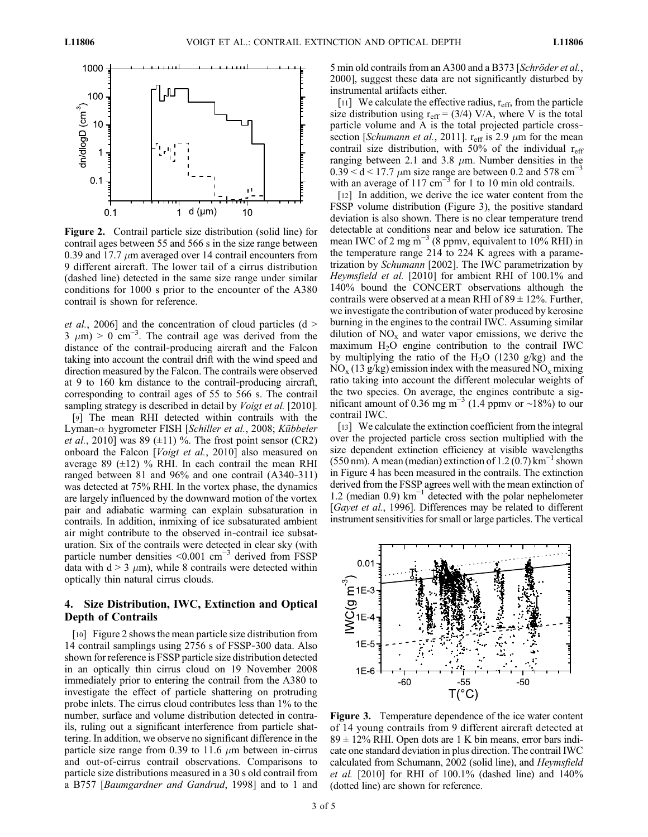

Figure 2. Contrail particle size distribution (solid line) for contrail ages between 55 and 566 s in the size range between 0.39 and 17.7  $\mu$ m averaged over 14 contrail encounters from 9 different aircraft. The lower tail of a cirrus distribution (dashed line) detected in the same size range under similar conditions for 1000 s prior to the encounter of the A380 contrail is shown for reference.

*et al.*, 2006] and the concentration of cloud particles  $(d >$  $3 \mu m$ ) > 0 cm<sup>-3</sup>. The contrail age was derived from the distance of the contrail‐producing aircraft and the Falcon taking into account the contrail drift with the wind speed and direction measured by the Falcon. The contrails were observed at 9 to 160 km distance to the contrail‐producing aircraft, corresponding to contrail ages of 55 to 566 s. The contrail sampling strategy is described in detail by *Voigt et al.* [2010].

[9] The mean RHI detected within contrails with the Lyman- $\alpha$  hygrometer FISH [Schiller et al., 2008; Kübbeler *et al.*, 2010] was 89 ( $\pm$ 11) %. The frost point sensor (CR2) onboard the Falcon [Voigt et al., 2010] also measured on average 89  $(\pm 12)$  % RHI. In each contrail the mean RHI ranged between 81 and 96% and one contrail (A340‐311) was detected at 75% RHI. In the vortex phase, the dynamics are largely influenced by the downward motion of the vortex pair and adiabatic warming can explain subsaturation in contrails. In addition, inmixing of ice subsaturated ambient air might contribute to the observed in‐contrail ice subsaturation. Six of the contrails were detected in clear sky (with particle number densities <0.001 cm−<sup>3</sup> derived from FSSP data with  $d > 3$   $\mu$ m), while 8 contrails were detected within optically thin natural cirrus clouds.

### 4. Size Distribution, IWC, Extinction and Optical Depth of Contrails

[10] Figure 2 shows the mean particle size distribution from 14 contrail samplings using 2756 s of FSSP‐300 data. Also shown for reference is FSSP particle size distribution detected in an optically thin cirrus cloud on 19 November 2008 immediately prior to entering the contrail from the A380 to investigate the effect of particle shattering on protruding probe inlets. The cirrus cloud contributes less than 1% to the number, surface and volume distribution detected in contrails, ruling out a significant interference from particle shattering. In addition, we observe no significant difference in the particle size range from 0.39 to 11.6  $\mu$ m between in-cirrus and out‐of‐cirrus contrail observations. Comparisons to particle size distributions measured in a 30 s old contrail from a B757 [Baumgardner and Gandrud, 1998] and to 1 and 5 min old contrails from an A300 and a B373 [Schröder et al., 2000], suggest these data are not significantly disturbed by instrumental artifacts either.

[11] We calculate the effective radius,  $r_{\text{eff}}$ , from the particle size distribution using  $r_{\text{eff}} = (3/4)$  V/A, where V is the total particle volume and A is the total projected particle crosssection [Schumann et al., 2011].  $r_{\text{eff}}$  is 2.9  $\mu$ m for the mean contrail size distribution, with 50% of the individual  $r_{\text{eff}}$ ranging between 2.1 and 3.8  $\mu$ m. Number densities in the  $0.39 < d < 17.7 \mu m$  size range are between 0.2 and 578 cm<sup>-3</sup> with an average of 117 cm<sup>-3</sup> for 1 to 10 min old contrails.

[12] In addition, we derive the ice water content from the FSSP volume distribution (Figure 3), the positive standard deviation is also shown. There is no clear temperature trend detectable at conditions near and below ice saturation. The mean IWC of 2 mg m<sup>-3</sup> (8 ppmv, equivalent to 10% RHI) in the temperature range 214 to 224 K agrees with a parametrization by Schumann [2002]. The IWC parametrization by Heymsfield et al. [2010] for ambient RHI of 100.1% and 140% bound the CONCERT observations although the contrails were observed at a mean RHI of  $89 \pm 12\%$ . Further, we investigate the contribution of water produced by kerosine burning in the engines to the contrail IWC. Assuming similar dilution of  $NO<sub>x</sub>$  and water vapor emissions, we derive the maximum  $H_2O$  engine contribution to the contrail IWC by multiplying the ratio of the  $H_2O$  (1230 g/kg) and the  $NO<sub>x</sub>$  (13 g/kg) emission index with the measured  $NO<sub>x</sub>$  mixing ratio taking into account the different molecular weights of the two species. On average, the engines contribute a significant amount of 0.36 mg m<sup>-3</sup> (1.4 ppmv or ~18%) to our contrail IWC.

[13] We calculate the extinction coefficient from the integral over the projected particle cross section multiplied with the size dependent extinction efficiency at visible wavelengths (550 nm). A mean (median) extinction of  $1.2 (0.7)$  km<sup>-1</sup> shown in Figure 4 has been measured in the contrails. The extinction derived from the FSSP agrees well with the mean extinction of 1.2 (median 0.9)  $km^{-1}$  detected with the polar nephelometer [Gayet et al., 1996]. Differences may be related to different instrument sensitivities for small or large particles. The vertical



Figure 3. Temperature dependence of the ice water content of 14 young contrails from 9 different aircraft detected at  $89 \pm 12\%$  RHI. Open dots are 1 K bin means, error bars indicate one standard deviation in plus direction. The contrail IWC calculated from Schumann, 2002 (solid line), and Heymsfield et al. [2010] for RHI of 100.1% (dashed line) and 140% (dotted line) are shown for reference.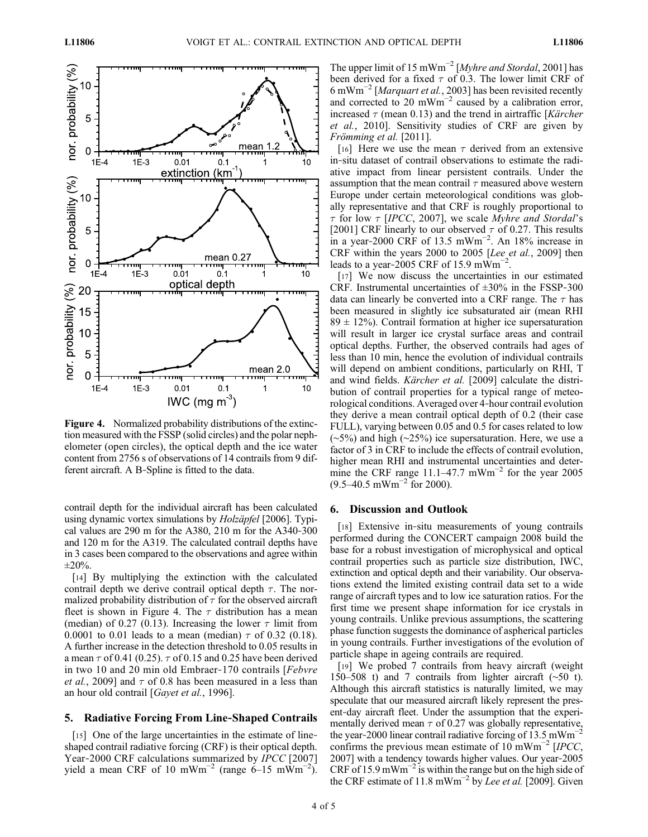

Figure 4. Normalized probability distributions of the extinction measured with the FSSP (solid circles) and the polar nephelometer (open circles), the optical depth and the ice water content from 2756 s of observations of 14 contrails from 9 different aircraft. A B‐Spline is fitted to the data.

contrail depth for the individual aircraft has been calculated using dynamic vortex simulations by *Holzäpfel* [2006]. Typical values are 290 m for the A380, 210 m for the A340‐300 and 120 m for the A319. The calculated contrail depths have in 3 cases been compared to the observations and agree within  $\pm 20\%$ .

[14] By multiplying the extinction with the calculated contrail depth we derive contrail optical depth  $\tau$ . The normalized probability distribution of  $\tau$  for the observed aircraft fleet is shown in Figure 4. The  $\tau$  distribution has a mean (median) of 0.27 (0.13). Increasing the lower  $\tau$  limit from 0.0001 to 0.01 leads to a mean (median)  $\tau$  of 0.32 (0.18). A further increase in the detection threshold to 0.05 results in a mean  $\tau$  of 0.41 (0.25).  $\tau$  of 0.15 and 0.25 have been derived in two 10 and 20 min old Embraer‐170 contrails [Febvre *et al.*, 2009] and  $\tau$  of 0.8 has been measured in a less than an hour old contrail [Gayet et al., 1996].

### 5. Radiative Forcing From Line‐Shaped Contrails

[15] One of the large uncertainties in the estimate of line– shaped contrail radiative forcing (CRF) is their optical depth. Year-2000 CRF calculations summarized by *IPCC* [2007] yield a mean CRF of 10 mWm<sup>-2</sup> (range 6–15 mWm<sup>-2</sup>). The upper limit of 15 mWm<sup>-2</sup> [*Myhre and Stordal*, 2001] has been derived for a fixed  $\tau$  of 0.3. The lower limit CRF of 6 mWm−<sup>2</sup> [Marquart et al., 2003] has been revisited recently and corrected to 20 mWm<sup>-2</sup> caused by a calibration error, increased  $\tau$  (mean 0.13) and the trend in airtraffic [Kärcher] et al., 2010]. Sensitivity studies of CRF are given by Frömming et al. [2011].

[16] Here we use the mean  $\tau$  derived from an extensive in‐situ dataset of contrail observations to estimate the radiative impact from linear persistent contrails. Under the assumption that the mean contrail  $\tau$  measured above western Europe under certain meteorological conditions was globally representative and that CRF is roughly proportional to  $\tau$  for low  $\tau$  [IPCC, 2007], we scale Myhre and Stordal's [2001] CRF linearly to our observed  $\tau$  of 0.27. This results in a year-2000 CRF of 13.5 mWm<sup>-2</sup>. An 18% increase in CRF within the years 2000 to 2005 [Lee et al., 2009] then leads to a year-2005 CRF of 15.9 m $\text{Wm}^{-2}$ .

[17] We now discuss the uncertainties in our estimated CRF. Instrumental uncertainties of  $\pm 30\%$  in the FSSP-300 data can linearly be converted into a CRF range. The  $\tau$  has been measured in slightly ice subsaturated air (mean RHI  $89 \pm 12\%$ ). Contrail formation at higher ice supersaturation will result in larger ice crystal surface areas and contrail optical depths. Further, the observed contrails had ages of less than 10 min, hence the evolution of individual contrails will depend on ambient conditions, particularly on RHI, T and wind fields. Kärcher et al. [2009] calculate the distribution of contrail properties for a typical range of meteorological conditions. Averaged over 4‐hour contrail evolution they derive a mean contrail optical depth of 0.2 (their case FULL), varying between 0.05 and 0.5 for cases related to low (∼5%) and high (∼25%) ice supersaturation. Here, we use a factor of 3 in CRF to include the effects of contrail evolution, higher mean RHI and instrumental uncertainties and determine the CRF range 11.1–47.7 mWm<sup>-2</sup> for the year 2005  $(9.5-40.5 \text{ mWm}^{-2} \text{ for } 2000)$ .

### 6. Discussion and Outlook

[18] Extensive in‐situ measurements of young contrails performed during the CONCERT campaign 2008 build the base for a robust investigation of microphysical and optical contrail properties such as particle size distribution, IWC, extinction and optical depth and their variability. Our observations extend the limited existing contrail data set to a wide range of aircraft types and to low ice saturation ratios. For the first time we present shape information for ice crystals in young contrails. Unlike previous assumptions, the scattering phase function suggests the dominance of aspherical particles in young contrails. Further investigations of the evolution of particle shape in ageing contrails are required.

[19] We probed 7 contrails from heavy aircraft (weight 150–508 t) and 7 contrails from lighter aircraft (∼50 t). Although this aircraft statistics is naturally limited, we may speculate that our measured aircraft likely represent the present‐day aircraft fleet. Under the assumption that the experimentally derived mean  $\tau$  of 0.27 was globally representative, the year–2000 linear contrail radiative forcing of 13.5 mWm<sup>-1</sup> confirms the previous mean estimate of 10 mWm<sup> $-2$ </sup> [IPCC, 2007] with a tendency towards higher values. Our year‐2005 CRF of 15.9 mWm<sup>-2</sup> is within the range but on the high side of the CRF estimate of 11.8 mWm<sup>-2</sup> by Lee et al. [2009]. Given